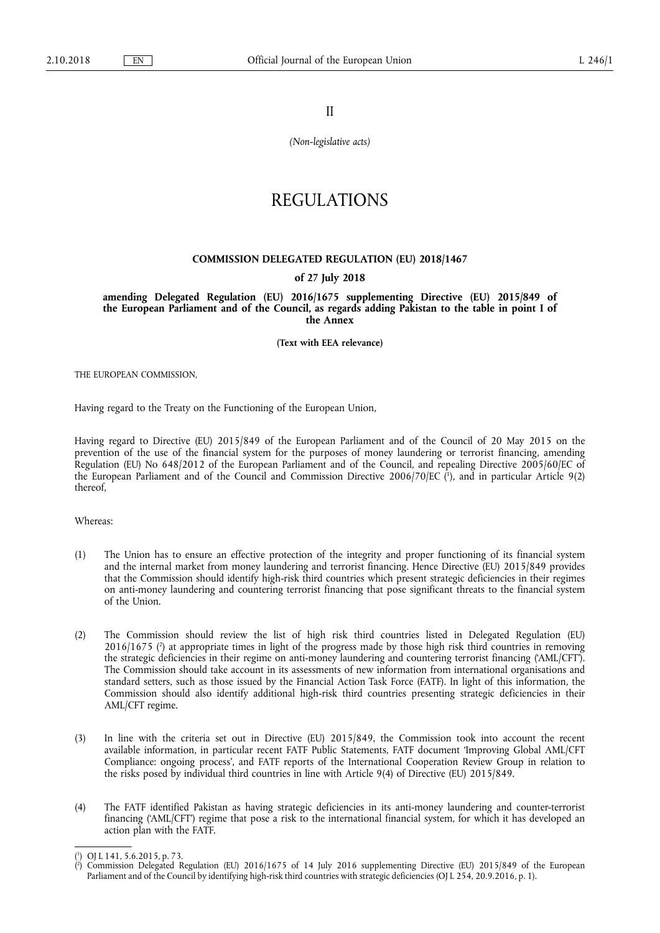II

*(Non-legislative acts)* 

## REGULATIONS

## **COMMISSION DELEGATED REGULATION (EU) 2018/1467**

## **of 27 July 2018**

**amending Delegated Regulation (EU) 2016/1675 supplementing Directive (EU) 2015/849 of the European Parliament and of the Council, as regards adding Pakistan to the table in point I of the Annex** 

**(Text with EEA relevance)** 

THE EUROPEAN COMMISSION,

Having regard to the Treaty on the Functioning of the European Union,

Having regard to Directive (EU) 2015/849 of the European Parliament and of the Council of 20 May 2015 on the prevention of the use of the financial system for the purposes of money laundering or terrorist financing, amending Regulation (EU) No 648/2012 of the European Parliament and of the Council, and repealing Directive 2005/60/EC of the European Parliament and of the Council and Commission Directive 2006/70/EC ( 1 ), and in particular Article 9(2) thereof,

Whereas:

- (1) The Union has to ensure an effective protection of the integrity and proper functioning of its financial system and the internal market from money laundering and terrorist financing. Hence Directive (EU) 2015/849 provides that the Commission should identify high-risk third countries which present strategic deficiencies in their regimes on anti-money laundering and countering terrorist financing that pose significant threats to the financial system of the Union.
- (2) The Commission should review the list of high risk third countries listed in Delegated Regulation (EU) 2016/1675 ( 2 ) at appropriate times in light of the progress made by those high risk third countries in removing the strategic deficiencies in their regime on anti-money laundering and countering terrorist financing ('AML/CFT'). The Commission should take account in its assessments of new information from international organisations and standard setters, such as those issued by the Financial Action Task Force (FATF). In light of this information, the Commission should also identify additional high-risk third countries presenting strategic deficiencies in their AML/CFT regime.
- (3) In line with the criteria set out in Directive (EU) 2015/849, the Commission took into account the recent available information, in particular recent FATF Public Statements, FATF document 'Improving Global AML/CFT Compliance: ongoing process', and FATF reports of the International Cooperation Review Group in relation to the risks posed by individual third countries in line with Article 9(4) of Directive (EU) 2015/849.
- (4) The FATF identified Pakistan as having strategic deficiencies in its anti-money laundering and counter-terrorist financing ('AML/CFT') regime that pose a risk to the international financial system, for which it has developed an action plan with the FATF.

<sup>(</sup> 1 ) OJ L 141, 5.6.2015, p. 73.

<sup>(</sup> 2 ) Commission Delegated Regulation (EU) 2016/1675 of 14 July 2016 supplementing Directive (EU) 2015/849 of the European Parliament and of the Council by identifying high-risk third countries with strategic deficiencies (OJ L 254, 20.9.2016, p. 1).